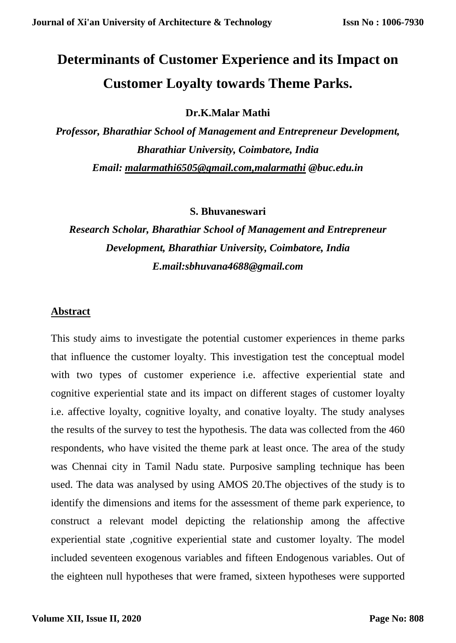# **Determinants of Customer Experience and its Impact on Customer Loyalty towards Theme Parks.**

**Dr.K.Malar Mathi**

*Professor, Bharathiar School of Management and Entrepreneur Development, Bharathiar University, Coimbatore, India Email: [malarmathi6505@gmail.com,malarmathi](mailto:malarmathi6505@gmail.com,malarmathi) @buc.edu.in*

**S. Bhuvaneswari**

# *Research Scholar, Bharathiar School of Management and Entrepreneur Development, Bharathiar University, Coimbatore, India E.mail:sbhuvana4688@gmail.com*

## **Abstract**

This study aims to investigate the potential customer experiences in theme parks that influence the customer loyalty. This investigation test the conceptual model with two types of customer experience i.e. affective experiential state and cognitive experiential state and its impact on different stages of customer loyalty i.e. affective loyalty, cognitive loyalty, and conative loyalty. The study analyses the results of the survey to test the hypothesis. The data was collected from the 460 respondents, who have visited the theme park at least once. The area of the study was Chennai city in Tamil Nadu state. Purposive sampling technique has been used. The data was analysed by using AMOS 20.The objectives of the study is to identify the dimensions and items for the assessment of theme park experience, to construct a relevant model depicting the relationship among the affective experiential state ,cognitive experiential state and customer loyalty. The model included seventeen exogenous variables and fifteen Endogenous variables. Out of the eighteen null hypotheses that were framed, sixteen hypotheses were supported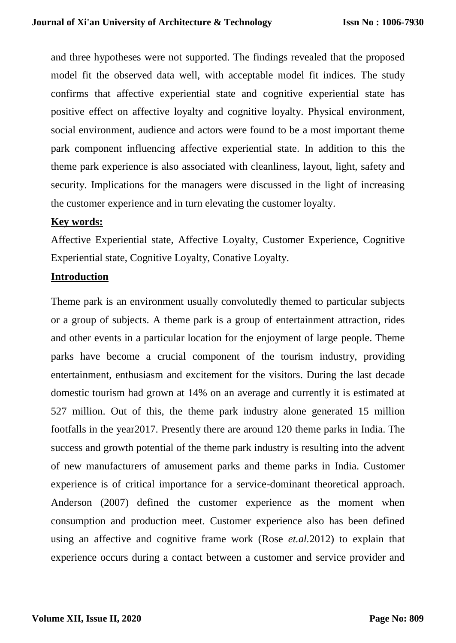and three hypotheses were not supported. The findings revealed that the proposed model fit the observed data well, with acceptable model fit indices. The study confirms that affective experiential state and cognitive experiential state has positive effect on affective loyalty and cognitive loyalty. Physical environment, social environment, audience and actors were found to be a most important theme park component influencing affective experiential state. In addition to this the theme park experience is also associated with cleanliness, layout, light, safety and security. Implications for the managers were discussed in the light of increasing the customer experience and in turn elevating the customer loyalty.

### **Key words:**

Affective Experiential state, Affective Loyalty, Customer Experience, Cognitive Experiential state, Cognitive Loyalty, Conative Loyalty.

#### **Introduction**

Theme park is an environment usually convolutedly themed to particular subjects or a group of subjects. A theme park is a group of entertainment attraction, rides and other events in a particular location for the enjoyment of large people. Theme parks have become a crucial component of the tourism industry, providing entertainment, enthusiasm and excitement for the visitors. During the last decade domestic tourism had grown at 14% on an average and currently it is estimated at 527 million. Out of this, the theme park industry alone generated 15 million footfalls in the year2017. Presently there are around 120 theme parks in India. The success and growth potential of the theme park industry is resulting into the advent of new manufacturers of amusement parks and theme parks in India. Customer experience is of critical importance for a service-dominant theoretical approach. Anderson (2007) defined the customer experience as the moment when consumption and production meet. Customer experience also has been defined using an affective and cognitive frame work (Rose *et.al.*2012) to explain that experience occurs during a contact between a customer and service provider and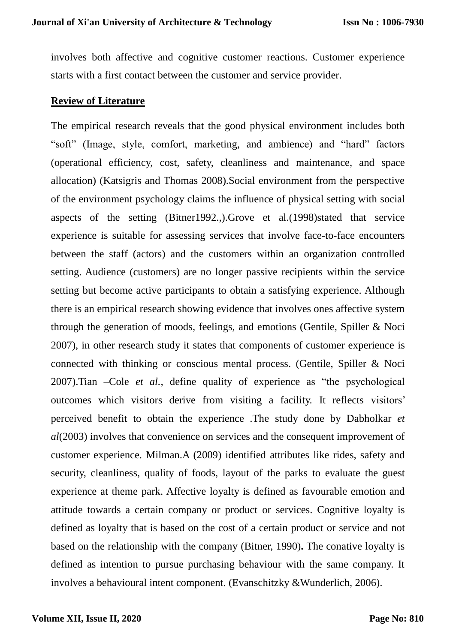involves both affective and cognitive customer reactions. Customer experience starts with a first contact between the customer and service provider.

#### **Review of Literature**

The empirical research reveals that the good physical environment includes both "soft" (Image, style, comfort, marketing, and ambience) and "hard" factors (operational efficiency, cost, safety, cleanliness and maintenance, and space allocation) (Katsigris and Thomas 2008).Social environment from the perspective of the environment psychology claims the influence of physical setting with social aspects of the setting (Bitner1992.,).Grove et al.(1998)stated that service experience is suitable for assessing services that involve face-to-face encounters between the staff (actors) and the customers within an organization controlled setting. Audience (customers) are no longer passive recipients within the service setting but become active participants to obtain a satisfying experience. Although there is an empirical research showing evidence that involves ones affective system through the generation of moods, feelings, and emotions (Gentile, Spiller & Noci 2007), in other research study it states that components of customer experience is connected with thinking or conscious mental process. (Gentile, Spiller & Noci 2007).Tian –Cole *et al.,* define quality of experience as "the psychological outcomes which visitors derive from visiting a facility. It reflects visitors' perceived benefit to obtain the experience .The study done by Dabholkar *et al*(2003) involves that convenience on services and the consequent improvement of customer experience. Milman.A (2009) identified attributes like rides, safety and security, cleanliness, quality of foods, layout of the parks to evaluate the guest experience at theme park. Affective loyalty is defined as favourable emotion and attitude towards a certain company or product or services. Cognitive loyalty is defined as loyalty that is based on the cost of a certain product or service and not based on the relationship with the company (Bitner, 1990)**.** The conative loyalty is defined as intention to pursue purchasing behaviour with the same company. It involves a behavioural intent component. (Evanschitzky &Wunderlich, 2006).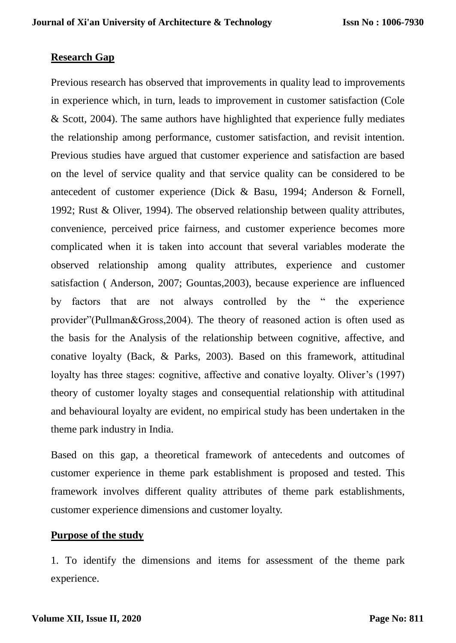## **Research Gap**

Previous research has observed that improvements in quality lead to improvements in experience which, in turn, leads to improvement in customer satisfaction (Cole & Scott, 2004). The same authors have highlighted that experience fully mediates the relationship among performance, customer satisfaction, and revisit intention. Previous studies have argued that customer experience and satisfaction are based on the level of service quality and that service quality can be considered to be antecedent of customer experience (Dick & Basu, 1994; Anderson & Fornell, 1992; Rust & Oliver, 1994). The observed relationship between quality attributes, convenience, perceived price fairness, and customer experience becomes more complicated when it is taken into account that several variables moderate the observed relationship among quality attributes, experience and customer satisfaction ( Anderson, 2007; Gountas,2003), because experience are influenced by factors that are not always controlled by the " the experience provider"(Pullman&Gross,2004). The theory of reasoned action is often used as the basis for the Analysis of the relationship between cognitive, affective, and conative loyalty (Back, & Parks, 2003). Based on this framework, attitudinal loyalty has three stages: cognitive, affective and conative loyalty. Oliver's (1997) theory of customer loyalty stages and consequential relationship with attitudinal and behavioural loyalty are evident, no empirical study has been undertaken in the theme park industry in India.

Based on this gap, a theoretical framework of antecedents and outcomes of customer experience in theme park establishment is proposed and tested. This framework involves different quality attributes of theme park establishments, customer experience dimensions and customer loyalty.

## **Purpose of the study**

1. To identify the dimensions and items for assessment of the theme park experience.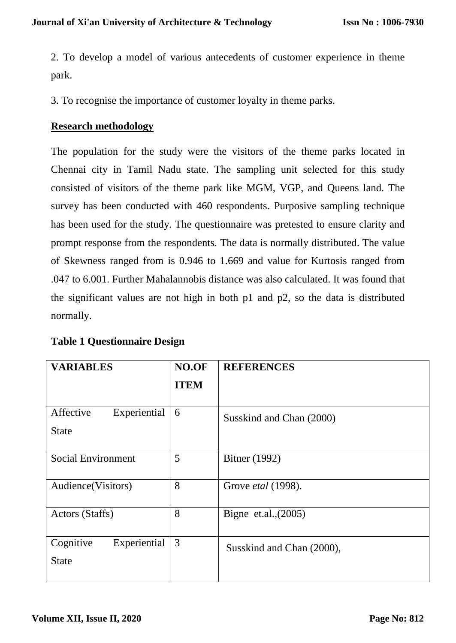2. To develop a model of various antecedents of customer experience in theme park.

3. To recognise the importance of customer loyalty in theme parks.

# **Research methodology**

The population for the study were the visitors of the theme parks located in Chennai city in Tamil Nadu state. The sampling unit selected for this study consisted of visitors of the theme park like MGM, VGP, and Queens land. The survey has been conducted with 460 respondents. Purposive sampling technique has been used for the study. The questionnaire was pretested to ensure clarity and prompt response from the respondents. The data is normally distributed. The value of Skewness ranged from is 0.946 to 1.669 and value for Kurtosis ranged from .047 to 6.001. Further Mahalannobis distance was also calculated. It was found that the significant values are not high in both p1 and p2, so the data is distributed normally.

| <b>VARIABLES</b>                          | NO.OF       | <b>REFERENCES</b>         |
|-------------------------------------------|-------------|---------------------------|
|                                           | <b>ITEM</b> |                           |
| Affective<br>Experiential<br><b>State</b> | 6           | Susskind and Chan (2000)  |
| <b>Social Environment</b>                 | 5           | Bitner (1992)             |
| Audience (Visitors)                       | 8           | Grove etal (1998).        |
| Actors (Staffs)                           | 8           | Bigne et.al., $(2005)$    |
| Cognitive<br>Experiential<br><b>State</b> | 3           | Susskind and Chan (2000), |

| <b>Table 1 Questionnaire Design</b> |  |  |  |
|-------------------------------------|--|--|--|
|-------------------------------------|--|--|--|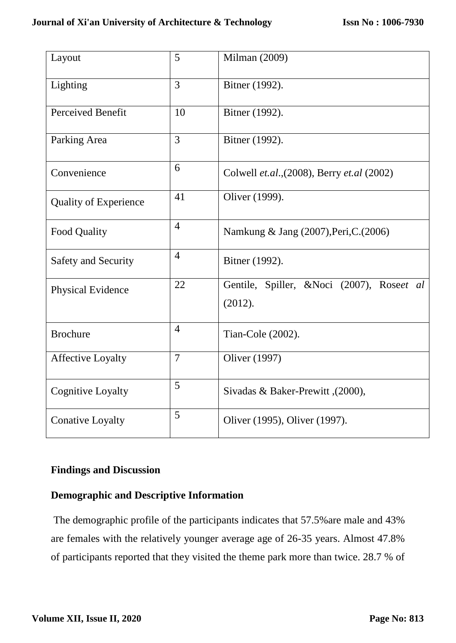| Layout                       | 5              | Milman (2009)                                        |  |  |
|------------------------------|----------------|------------------------------------------------------|--|--|
| Lighting                     | $\overline{3}$ | Bitner (1992).                                       |  |  |
| Perceived Benefit            | 10             | Bitner (1992).                                       |  |  |
| Parking Area                 | 3              | Bitner (1992).                                       |  |  |
| Convenience                  | 6              | Colwell et.al., (2008), Berry et.al (2002)           |  |  |
| <b>Quality of Experience</b> | 41             | Oliver (1999).                                       |  |  |
| Food Quality                 | $\overline{4}$ | Namkung & Jang (2007), Peri, C. (2006)               |  |  |
| Safety and Security          | $\overline{4}$ | Bitner (1992).                                       |  |  |
| Physical Evidence            | 22             | Gentile, Spiller, &Noci (2007), Roseet al<br>(2012). |  |  |
| <b>Brochure</b>              | $\overline{4}$ | Tian-Cole (2002).                                    |  |  |
| <b>Affective Loyalty</b>     | $\overline{7}$ | Oliver (1997)                                        |  |  |
| Cognitive Loyalty            | 5              | Sivadas & Baker-Prewitt, (2000),                     |  |  |
| <b>Conative Loyalty</b>      | 5              | Oliver (1995), Oliver (1997).                        |  |  |

# **Findings and Discussion**

# **Demographic and Descriptive Information**

The demographic profile of the participants indicates that 57.5%are male and 43% are females with the relatively younger average age of 26-35 years. Almost 47.8% of participants reported that they visited the theme park more than twice. 28.7 % of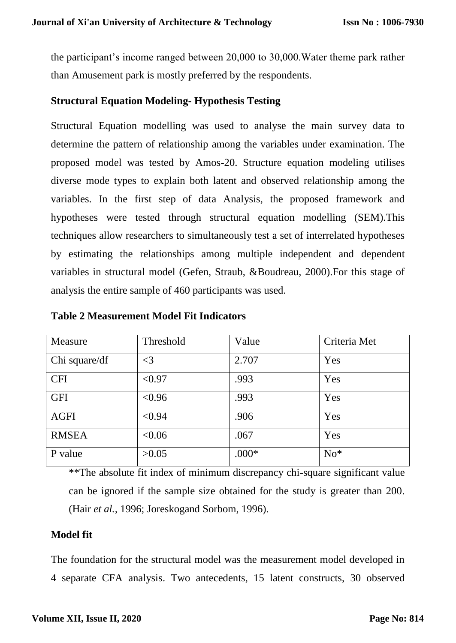the participant's income ranged between 20,000 to 30,000.Water theme park rather than Amusement park is mostly preferred by the respondents.

## **Structural Equation Modeling- Hypothesis Testing**

Structural Equation modelling was used to analyse the main survey data to determine the pattern of relationship among the variables under examination. The proposed model was tested by Amos-20. Structure equation modeling utilises diverse mode types to explain both latent and observed relationship among the variables. In the first step of data Analysis, the proposed framework and hypotheses were tested through structural equation modelling (SEM).This techniques allow researchers to simultaneously test a set of interrelated hypotheses by estimating the relationships among multiple independent and dependent variables in structural model (Gefen, Straub, &Boudreau, 2000).For this stage of analysis the entire sample of 460 participants was used.

| Measure       | Threshold | Value   | Criteria Met |
|---------------|-----------|---------|--------------|
| Chi square/df | $\leq$ 3  | 2.707   | Yes          |
| <b>CFI</b>    | < 0.97    | .993    | Yes          |
| <b>GFI</b>    | < 0.96    | .993    | Yes          |
| <b>AGFI</b>   | < 0.94    | .906    | Yes          |
| <b>RMSEA</b>  | < 0.06    | .067    | Yes          |
| P value       | >0.05     | $.000*$ | $No*$        |

#### **Table 2 Measurement Model Fit Indicators**

\*\*The absolute fit index of minimum discrepancy chi-square significant value can be ignored if the sample size obtained for the study is greater than 200. (Hair *et al.,* 1996; Joreskogand Sorbom, 1996).

# **Model fit**

The foundation for the structural model was the measurement model developed in 4 separate CFA analysis. Two antecedents, 15 latent constructs, 30 observed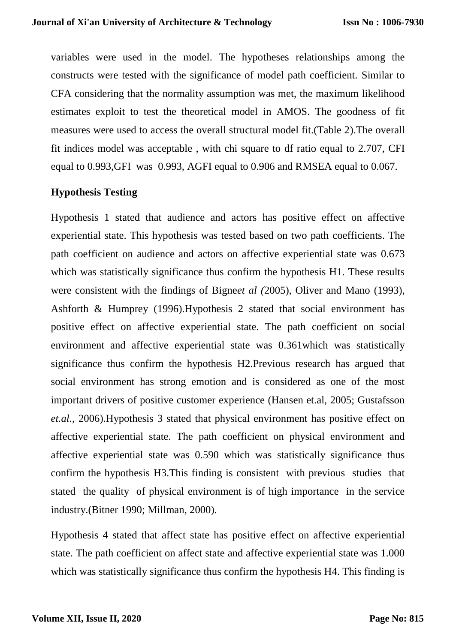variables were used in the model. The hypotheses relationships among the constructs were tested with the significance of model path coefficient. Similar to CFA considering that the normality assumption was met, the maximum likelihood estimates exploit to test the theoretical model in AMOS. The goodness of fit measures were used to access the overall structural model fit.(Table 2).The overall fit indices model was acceptable , with chi square to df ratio equal to 2.707, CFI equal to 0.993,GFI was 0.993, AGFI equal to 0.906 and RMSEA equal to 0.067.

## **Hypothesis Testing**

Hypothesis 1 stated that audience and actors has positive effect on affective experiential state. This hypothesis was tested based on two path coefficients. The path coefficient on audience and actors on affective experiential state was 0.673 which was statistically significance thus confirm the hypothesis H<sub>1</sub>. These results were consistent with the findings of Bigne*et al (*2005), Oliver and Mano (1993), Ashforth & Humprey (1996).Hypothesis 2 stated that social environment has positive effect on affective experiential state. The path coefficient on social environment and affective experiential state was 0.361which was statistically significance thus confirm the hypothesis H2.Previous research has argued that social environment has strong emotion and is considered as one of the most important drivers of positive customer experience (Hansen et.al, 2005; Gustafsson *et.al.,* 2006).Hypothesis 3 stated that physical environment has positive effect on affective experiential state. The path coefficient on physical environment and affective experiential state was 0.590 which was statistically significance thus confirm the hypothesis H3.This finding is consistent with previous studies that stated the quality of physical environment is of high importance in the service industry.(Bitner 1990; Millman, 2000).

Hypothesis 4 stated that affect state has positive effect on affective experiential state. The path coefficient on affect state and affective experiential state was 1.000 which was statistically significance thus confirm the hypothesis H4. This finding is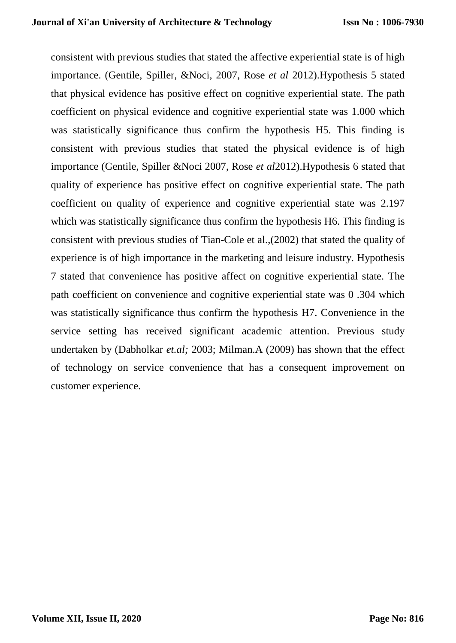consistent with previous studies that stated the affective experiential state is of high importance. (Gentile, Spiller, &Noci, 2007, Rose *et al* 2012).Hypothesis 5 stated that physical evidence has positive effect on cognitive experiential state. The path coefficient on physical evidence and cognitive experiential state was 1.000 which was statistically significance thus confirm the hypothesis H5. This finding is consistent with previous studies that stated the physical evidence is of high importance (Gentile, Spiller &Noci 2007, Rose *et al*2012).Hypothesis 6 stated that quality of experience has positive effect on cognitive experiential state. The path coefficient on quality of experience and cognitive experiential state was 2.197 which was statistically significance thus confirm the hypothesis H6. This finding is consistent with previous studies of Tian-Cole et al.,(2002) that stated the quality of experience is of high importance in the marketing and leisure industry. Hypothesis 7 stated that convenience has positive affect on cognitive experiential state. The path coefficient on convenience and cognitive experiential state was 0 .304 which was statistically significance thus confirm the hypothesis H7. Convenience in the service setting has received significant academic attention. Previous study undertaken by (Dabholkar *et.al;* 2003; Milman.A (2009) has shown that the effect of technology on service convenience that has a consequent improvement on customer experience.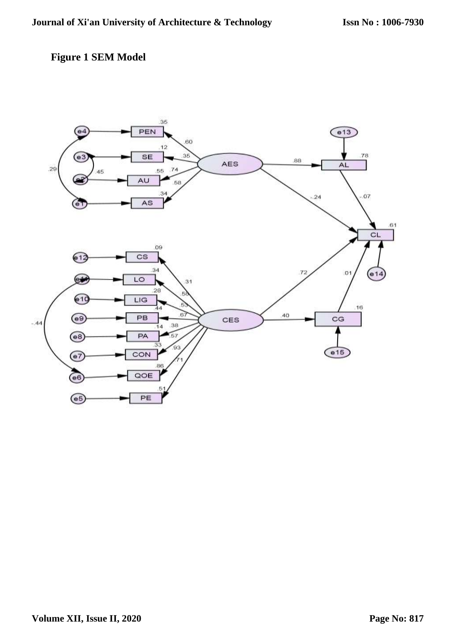# **Figure 1 SEM Model**

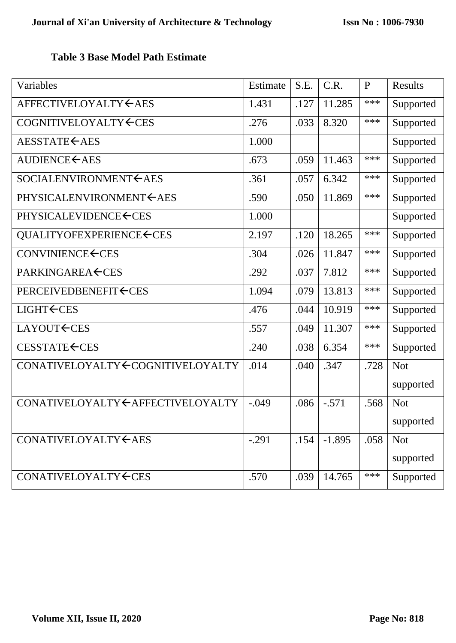# **Table 3 Base Model Path Estimate**

| Variables                                                                                                       | Estimate | S.E. | C.R.     | $\mathbf{P}$ | Results    |
|-----------------------------------------------------------------------------------------------------------------|----------|------|----------|--------------|------------|
| AFFECTIVELOYALTY←AES                                                                                            | 1.431    | .127 | 11.285   | ***          | Supported  |
| COGNITIVELOYALTY CES                                                                                            | .276     | .033 | 8.320    | ***          | Supported  |
| AESSTATE CAES                                                                                                   | 1.000    |      |          |              | Supported  |
| <b>AUDIENCE←AES</b>                                                                                             | .673     | .059 | 11.463   | ***          | Supported  |
| SOCIALENVIRONMENT CAES                                                                                          | .361     | .057 | 6.342    | ***          | Supported  |
| PHYSICALENVIRONMENT CAES                                                                                        | .590     | .050 | 11.869   | ***          | Supported  |
| PHYSICALEVIDENCE <ces< td=""><td>1.000</td><td></td><td></td><td></td><td>Supported</td></ces<>                 | 1.000    |      |          |              | Supported  |
| QUALITYOFEXPERIENCE <ces< td=""><td>2.197</td><td>.120</td><td>18.265</td><td>***</td><td>Supported</td></ces<> | 2.197    | .120 | 18.265   | ***          | Supported  |
| CONVINIENCE←CES                                                                                                 | .304     | .026 | 11.847   | ***          | Supported  |
| <b>PARKINGAREA ← CES</b>                                                                                        | .292     | .037 | 7.812    | ***          | Supported  |
| PERCEIVEDBENEFIT CES                                                                                            | 1.094    | .079 | 13.813   | ***          | Supported  |
| <b>LIGHT←CES</b>                                                                                                | .476     | .044 | 10.919   | ***          | Supported  |
| LAYOUT <del>(</del> CES                                                                                         | .557     | .049 | 11.307   | ***          | Supported  |
| CESSTATE←CES                                                                                                    | .240     | .038 | 6.354    | ***          | Supported  |
| CONATIVELOYALTY COGNITIVELOYALTY                                                                                | .014     | .040 | .347     | .728         | <b>Not</b> |
|                                                                                                                 |          |      |          |              | supported  |
| CONATIVELOYALTY CAFFECTIVELOYALTY                                                                               | $-.049$  | .086 | $-.571$  | .568         | <b>Not</b> |
|                                                                                                                 |          |      |          |              | supported  |
| CONATIVELOYALTY CAES                                                                                            | $-.291$  | .154 | $-1.895$ | .058         | <b>Not</b> |
|                                                                                                                 |          |      |          |              | supported  |
| CONATIVELOYALTY CES                                                                                             | .570     | .039 | 14.765   | ***          | Supported  |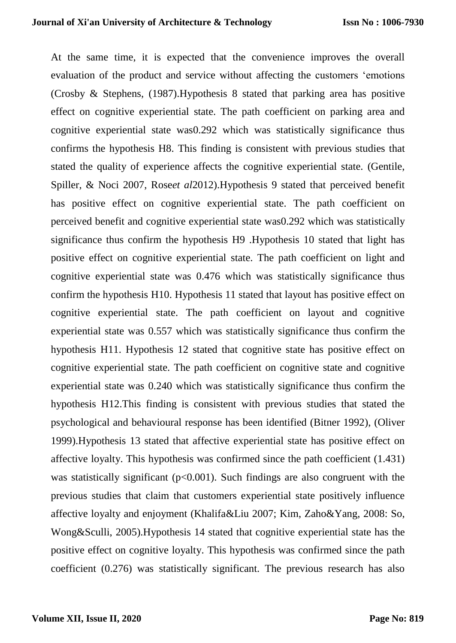At the same time, it is expected that the convenience improves the overall evaluation of the product and service without affecting the customers 'emotions (Crosby & Stephens, (1987).Hypothesis 8 stated that parking area has positive effect on cognitive experiential state. The path coefficient on parking area and cognitive experiential state was0.292 which was statistically significance thus confirms the hypothesis H8. This finding is consistent with previous studies that stated the quality of experience affects the cognitive experiential state. (Gentile, Spiller, & Noci 2007, Rose*et al*2012).Hypothesis 9 stated that perceived benefit has positive effect on cognitive experiential state. The path coefficient on perceived benefit and cognitive experiential state was0.292 which was statistically significance thus confirm the hypothesis H9 .Hypothesis 10 stated that light has positive effect on cognitive experiential state. The path coefficient on light and cognitive experiential state was 0.476 which was statistically significance thus confirm the hypothesis H10. Hypothesis 11 stated that layout has positive effect on cognitive experiential state. The path coefficient on layout and cognitive experiential state was 0.557 which was statistically significance thus confirm the hypothesis H11. Hypothesis 12 stated that cognitive state has positive effect on cognitive experiential state. The path coefficient on cognitive state and cognitive experiential state was 0.240 which was statistically significance thus confirm the hypothesis H12.This finding is consistent with previous studies that stated the psychological and behavioural response has been identified (Bitner 1992), (Oliver 1999).Hypothesis 13 stated that affective experiential state has positive effect on affective loyalty. This hypothesis was confirmed since the path coefficient (1.431) was statistically significant  $(p<0.001)$ . Such findings are also congruent with the previous studies that claim that customers experiential state positively influence affective loyalty and enjoyment (Khalifa&Liu 2007; Kim, Zaho&Yang, 2008: So, Wong&Sculli, 2005).Hypothesis 14 stated that cognitive experiential state has the positive effect on cognitive loyalty. This hypothesis was confirmed since the path coefficient (0.276) was statistically significant. The previous research has also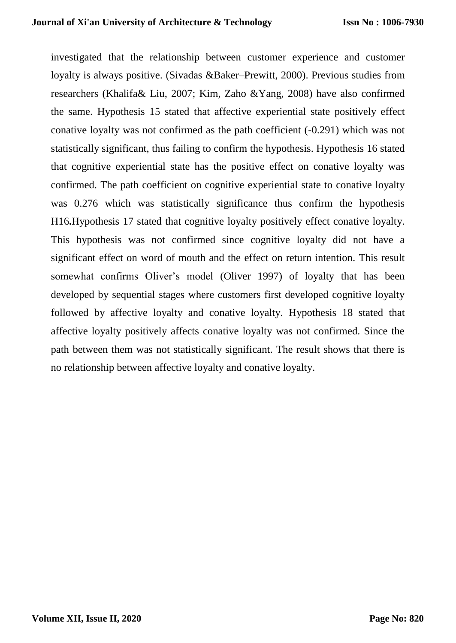investigated that the relationship between customer experience and customer loyalty is always positive. (Sivadas &Baker–Prewitt, 2000). Previous studies from researchers (Khalifa& Liu, 2007; Kim, Zaho &Yang, 2008) have also confirmed the same. Hypothesis 15 stated that affective experiential state positively effect conative loyalty was not confirmed as the path coefficient (-0.291) which was not statistically significant, thus failing to confirm the hypothesis. Hypothesis 16 stated that cognitive experiential state has the positive effect on conative loyalty was confirmed. The path coefficient on cognitive experiential state to conative loyalty was 0.276 which was statistically significance thus confirm the hypothesis H16**.**Hypothesis 17 stated that cognitive loyalty positively effect conative loyalty. This hypothesis was not confirmed since cognitive loyalty did not have a significant effect on word of mouth and the effect on return intention. This result somewhat confirms Oliver's model (Oliver 1997) of loyalty that has been developed by sequential stages where customers first developed cognitive loyalty followed by affective loyalty and conative loyalty. Hypothesis 18 stated that affective loyalty positively affects conative loyalty was not confirmed. Since the path between them was not statistically significant. The result shows that there is no relationship between affective loyalty and conative loyalty.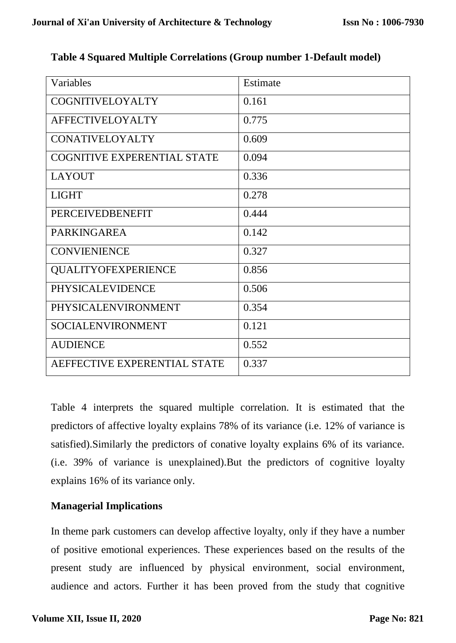| Variables                          | Estimate |
|------------------------------------|----------|
| COGNITIVELOYALTY                   | 0.161    |
| <b>AFFECTIVELOYALTY</b>            | 0.775    |
| <b>CONATIVELOYALTY</b>             | 0.609    |
| <b>COGNITIVE EXPERENTIAL STATE</b> | 0.094    |
| <b>LAYOUT</b>                      | 0.336    |
| <b>LIGHT</b>                       | 0.278    |
| <b>PERCEIVEDBENEFIT</b>            | 0.444    |
| <b>PARKINGAREA</b>                 | 0.142    |
| <b>CONVIENIENCE</b>                | 0.327    |
| <b>QUALITYOFEXPERIENCE</b>         | 0.856    |
| <b>PHYSICALEVIDENCE</b>            | 0.506    |
| PHYSICALENVIRONMENT                | 0.354    |
| SOCIALENVIRONMENT                  | 0.121    |
| <b>AUDIENCE</b>                    | 0.552    |
| AEFFECTIVE EXPERENTIAL STATE       | 0.337    |

# **Table 4 Squared Multiple Correlations (Group number 1-Default model)**

Table 4 interprets the squared multiple correlation. It is estimated that the predictors of affective loyalty explains 78% of its variance (i.e. 12% of variance is satisfied).Similarly the predictors of conative loyalty explains 6% of its variance. (i.e. 39% of variance is unexplained).But the predictors of cognitive loyalty explains 16% of its variance only.

# **Managerial Implications**

In theme park customers can develop affective loyalty, only if they have a number of positive emotional experiences. These experiences based on the results of the present study are influenced by physical environment, social environment, audience and actors. Further it has been proved from the study that cognitive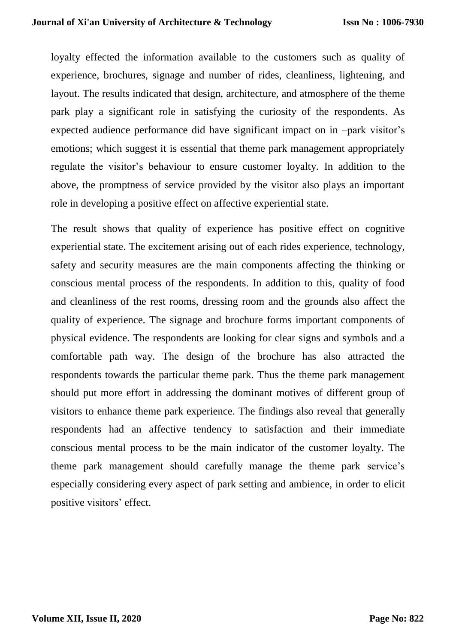loyalty effected the information available to the customers such as quality of experience, brochures, signage and number of rides, cleanliness, lightening, and layout. The results indicated that design, architecture, and atmosphere of the theme park play a significant role in satisfying the curiosity of the respondents. As expected audience performance did have significant impact on in –park visitor's emotions; which suggest it is essential that theme park management appropriately regulate the visitor's behaviour to ensure customer loyalty. In addition to the above, the promptness of service provided by the visitor also plays an important role in developing a positive effect on affective experiential state.

The result shows that quality of experience has positive effect on cognitive experiential state. The excitement arising out of each rides experience, technology, safety and security measures are the main components affecting the thinking or conscious mental process of the respondents. In addition to this, quality of food and cleanliness of the rest rooms, dressing room and the grounds also affect the quality of experience. The signage and brochure forms important components of physical evidence. The respondents are looking for clear signs and symbols and a comfortable path way. The design of the brochure has also attracted the respondents towards the particular theme park. Thus the theme park management should put more effort in addressing the dominant motives of different group of visitors to enhance theme park experience. The findings also reveal that generally respondents had an affective tendency to satisfaction and their immediate conscious mental process to be the main indicator of the customer loyalty. The theme park management should carefully manage the theme park service's especially considering every aspect of park setting and ambience, in order to elicit positive visitors' effect.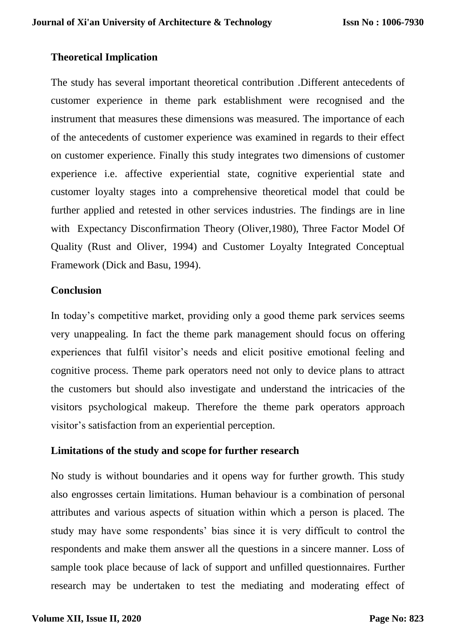## **Theoretical Implication**

The study has several important theoretical contribution .Different antecedents of customer experience in theme park establishment were recognised and the instrument that measures these dimensions was measured. The importance of each of the antecedents of customer experience was examined in regards to their effect on customer experience. Finally this study integrates two dimensions of customer experience i.e. affective experiential state, cognitive experiential state and customer loyalty stages into a comprehensive theoretical model that could be further applied and retested in other services industries. The findings are in line with Expectancy Disconfirmation Theory (Oliver,1980), Three Factor Model Of Quality (Rust and Oliver, 1994) and Customer Loyalty Integrated Conceptual Framework (Dick and Basu, 1994).

### **Conclusion**

In today's competitive market, providing only a good theme park services seems very unappealing. In fact the theme park management should focus on offering experiences that fulfil visitor's needs and elicit positive emotional feeling and cognitive process. Theme park operators need not only to device plans to attract the customers but should also investigate and understand the intricacies of the visitors psychological makeup. Therefore the theme park operators approach visitor's satisfaction from an experiential perception.

## **Limitations of the study and scope for further research**

No study is without boundaries and it opens way for further growth. This study also engrosses certain limitations. Human behaviour is a combination of personal attributes and various aspects of situation within which a person is placed. The study may have some respondents' bias since it is very difficult to control the respondents and make them answer all the questions in a sincere manner. Loss of sample took place because of lack of support and unfilled questionnaires. Further research may be undertaken to test the mediating and moderating effect of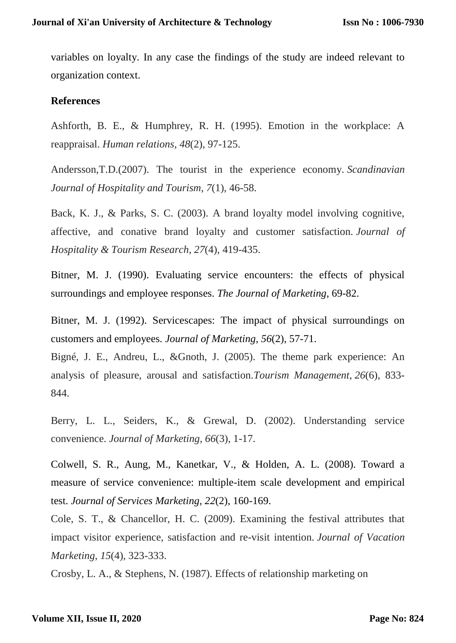variables on loyalty. In any case the findings of the study are indeed relevant to organization context.

## **References**

Ashforth, B. E., & Humphrey, R. H. (1995). Emotion in the workplace: A reappraisal. *Human relations*, *48*(2), 97-125.

Andersson,T.D.(2007). The tourist in the experience economy. *Scandinavian Journal of Hospitality and Tourism*, *7*(1), 46-58.

Back, K. J., & Parks, S. C. (2003). A brand loyalty model involving cognitive, affective, and conative brand loyalty and customer satisfaction. *Journal of Hospitality & Tourism Research*, *27*(4), 419-435.

Bitner, M. J. (1990). Evaluating service encounters: the effects of physical surroundings and employee responses. *The Journal of Marketing*, 69-82.

Bitner, M. J. (1992). Servicescapes: The impact of physical surroundings on customers and employees. *Journal of Marketing*, *56*(2), 57-71.

Bigné, J. E., Andreu, L., &Gnoth, J. (2005). The theme park experience: An analysis of pleasure, arousal and satisfaction.*Tourism Management*, *26*(6), 833- 844.

Berry, L. L., Seiders, K., & Grewal, D. (2002). Understanding service convenience. *Journal of Marketing*, *66*(3), 1-17.

Colwell, S. R., Aung, M., Kanetkar, V., & Holden, A. L. (2008). Toward a measure of service convenience: multiple-item scale development and empirical test. *Journal of Services Marketing*, *22*(2), 160-169.

Cole, S. T., & Chancellor, H. C. (2009). Examining the festival attributes that impact visitor experience, satisfaction and re-visit intention. *Journal of Vacation Marketing*, *15*(4), 323-333.

Crosby, L. A., & Stephens, N. (1987). Effects of relationship marketing on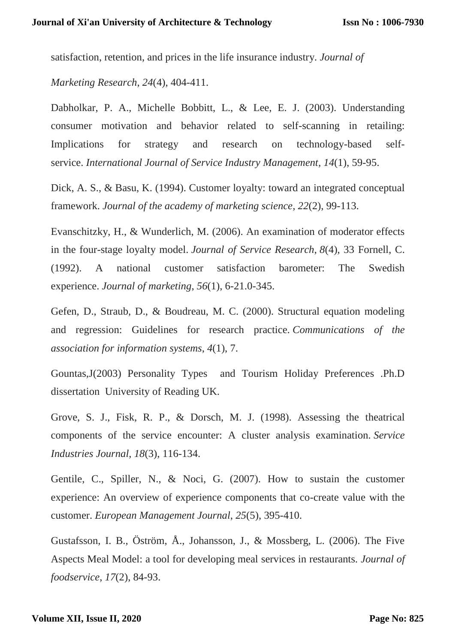satisfaction, retention, and prices in the life insurance industry. *Journal of* 

*Marketing Research*, *24*(4), 404-411.

Dabholkar, P. A., Michelle Bobbitt, L., & Lee, E. J. (2003). Understanding consumer motivation and behavior related to self-scanning in retailing: Implications for strategy and research on technology-based selfservice. *International Journal of Service Industry Management*, *14*(1), 59-95.

Dick, A. S., & Basu, K. (1994). Customer loyalty: toward an integrated conceptual framework. *Journal of the academy of marketing science*, *22*(2), 99-113.

Evanschitzky, H., & Wunderlich, M. (2006). An examination of moderator effects in the four-stage loyalty model. *Journal of Service Research*, *8*(4), 33 Fornell, C. (1992). A national customer satisfaction barometer: The Swedish experience. *Journal of marketing*, *56*(1), 6-21.0-345.

Gefen, D., Straub, D., & Boudreau, M. C. (2000). Structural equation modeling and regression: Guidelines for research practice. *Communications of the association for information systems*, *4*(1), 7.

Gountas,J(2003) Personality Types and Tourism Holiday Preferences .Ph.D dissertation University of Reading UK.

Grove, S. J., Fisk, R. P., & Dorsch, M. J. (1998). Assessing the theatrical components of the service encounter: A cluster analysis examination. *Service Industries Journal*, *18*(3), 116-134.

Gentile, C., Spiller, N., & Noci, G. (2007). How to sustain the customer experience: An overview of experience components that co-create value with the customer. *European Management Journal*, *25*(5), 395-410.

Gustafsson, I. B., Öström, Å., Johansson, J., & Mossberg, L. (2006). The Five Aspects Meal Model: a tool for developing meal services in restaurants. *Journal of foodservice*, *17*(2), 84-93.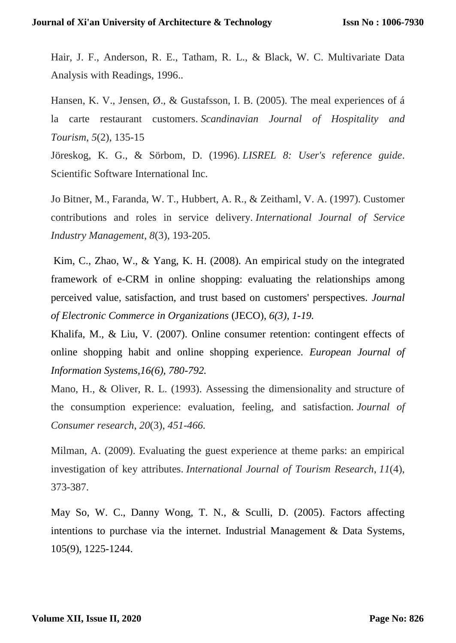Hair, J. F., Anderson, R. E., Tatham, R. L., & Black, W. C. Multivariate Data Analysis with Readings, 1996..

Hansen, K. V., Jensen, Ø., & Gustafsson, I. B. (2005). The meal experiences of á la carte restaurant customers. *Scandinavian Journal of Hospitality and Tourism*, *5*(2), 135-15

Jöreskog, K. G., & Sörbom, D. (1996). *LISREL 8: User's reference guide*. Scientific Software International Inc.

Jo Bitner, M., Faranda, W. T., Hubbert, A. R., & Zeithaml, V. A. (1997). Customer contributions and roles in service delivery. *International Journal of Service Industry Management*, *8*(3), 193-205.

Kim, C., Zhao, W., & Yang, K. H. (2008). An empirical study on the integrated framework of e-CRM in online shopping: evaluating the relationships among perceived value, satisfaction, and trust based on customers' perspectives. *Journal of Electronic Commerce in Organizations* (JECO), *6(3), 1-19.*

Khalifa, M., & Liu, V. (2007). Online consumer retention: contingent effects of online shopping habit and online shopping experience. *European Journal of Information Systems,16(6), 780-792.*

Mano, H., & Oliver, R. L. (1993). Assessing the dimensionality and structure of the consumption experience: evaluation, feeling, and satisfaction. *Journal of Consumer research*, *20*(3), *451-466.*

Milman, A. (2009). Evaluating the guest experience at theme parks: an empirical investigation of key attributes. *International Journal of Tourism Research*, *11*(4), 373-387.

May So, W. C., Danny Wong, T. N., & Sculli, D. (2005). Factors affecting intentions to purchase via the internet. Industrial Management & Data Systems, 105(9), 1225-1244.